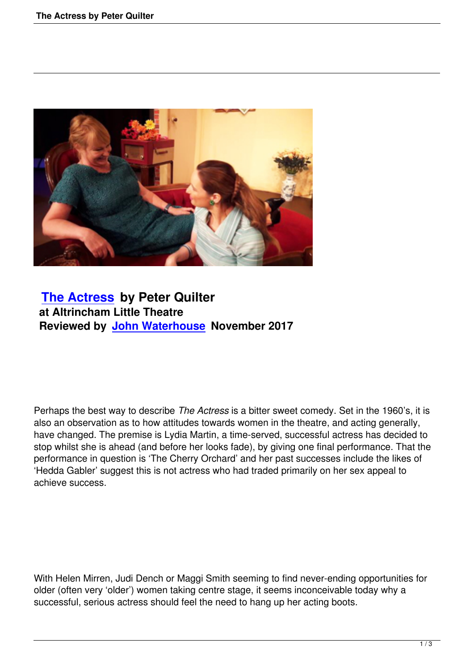

## **The Actress by Peter Quilter at Altrincham Little Theatre [Reviewed by J](the-actress-by-peter-quilter.html)ohn Waterhouse November 2017**

Perhaps the best way to describe *The Actress* is a bitter sweet comedy. Set in the 1960's, it is also an observation as to how attitudes towards women in the theatre, and acting generally, have changed. The premise is Lydia Martin, a time-served, successful actress has decided to stop whilst she is ahead (and before her looks fade), by giving one final performance. That the performance in question is 'The Cherry Orchard' and her past successes include the likes of 'Hedda Gabler' suggest this is not actress who had traded primarily on her sex appeal to achieve success.

With Helen Mirren, Judi Dench or Maggi Smith seeming to find never-ending opportunities for older (often very 'older') women taking centre stage, it seems inconceivable today why a successful, serious actress should feel the need to hang up her acting boots.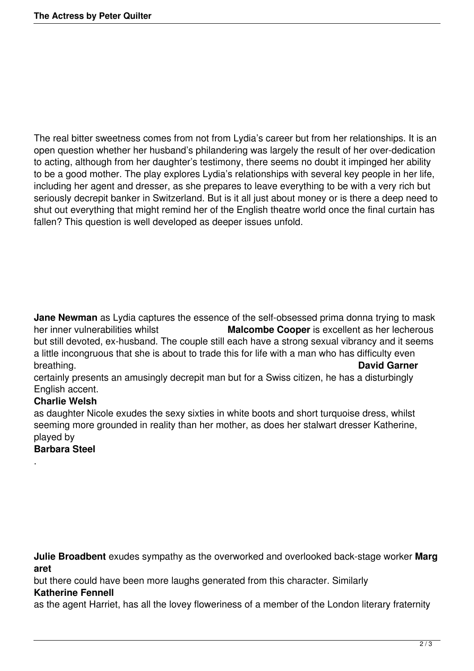The real bitter sweetness comes from not from Lydia's career but from her relationships. It is an open question whether her husband's philandering was largely the result of her over-dedication to acting, although from her daughter's testimony, there seems no doubt it impinged her ability to be a good mother. The play explores Lydia's relationships with several key people in her life, including her agent and dresser, as she prepares to leave everything to be with a very rich but seriously decrepit banker in Switzerland. But is it all just about money or is there a deep need to shut out everything that might remind her of the English theatre world once the final curtain has fallen? This question is well developed as deeper issues unfold.

**Jane Newman** as Lydia captures the essence of the self-obsessed prima donna trying to mask<br>her inner vulnerabilities whilst **Malcombe Cooper** is excellent as her lecherous **Malcombe Cooper** is excellent as her lecherous but still devoted, ex-husband. The couple still each have a strong sexual vibrancy and it seems a little incongruous that she is about to trade this for life with a man who has difficulty even breathing. **David Garner**

certainly presents an amusingly decrepit man but for a Swiss citizen, he has a disturbingly English accent.

## **Charlie Welsh**

as daughter Nicole exudes the sexy sixties in white boots and short turquoise dress, whilst seeming more grounded in reality than her mother, as does her stalwart dresser Katherine, played by

## **Barbara Steel**

.

**Julie Broadbent** exudes sympathy as the overworked and overlooked back-stage worker **Marg aret** 

but there could have been more laughs generated from this character. Similarly

## **Katherine Fennell**

as the agent Harriet, has all the lovey floweriness of a member of the London literary fraternity